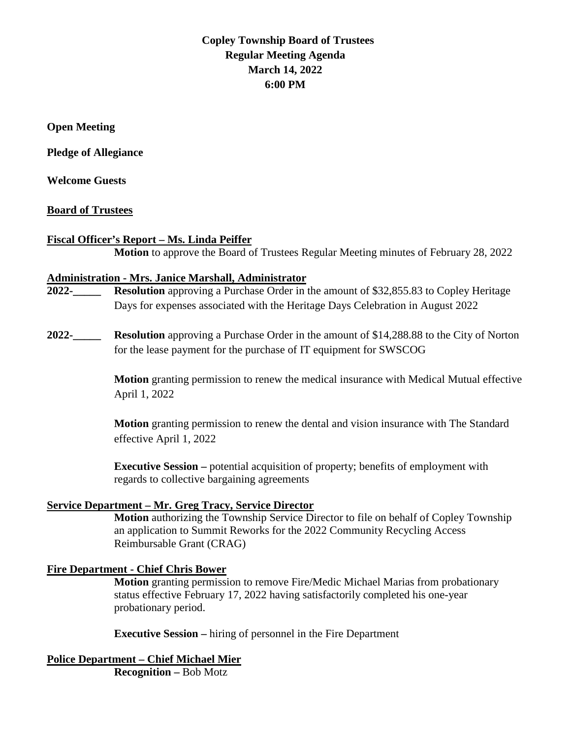# **Copley Township Board of Trustees Regular Meeting Agenda March 14, 2022 6:00 PM**

**Open Meeting**

**Pledge of Allegiance** 

**Welcome Guests**

#### **Board of Trustees**

#### **Fiscal Officer's Report – Ms. Linda Peiffer**

**Motion** to approve the Board of Trustees Regular Meeting minutes of February 28, 2022

#### **Administration - Mrs. Janice Marshall, Administrator**

- **2022-\_\_\_\_\_ Resolution** approving a Purchase Order in the amount of \$32,855.83 to Copley Heritage Days for expenses associated with the Heritage Days Celebration in August 2022
- **2022-\_\_\_\_\_ Resolution** approving a Purchase Order in the amount of \$14,288.88 to the City of Norton for the lease payment for the purchase of IT equipment for SWSCOG

**Motion** granting permission to renew the medical insurance with Medical Mutual effective April 1, 2022

**Motion** granting permission to renew the dental and vision insurance with The Standard effective April 1, 2022

**Executive Session –** potential acquisition of property; benefits of employment with regards to collective bargaining agreements

#### **Service Department – Mr. Greg Tracy, Service Director**

**Motion** authorizing the Township Service Director to file on behalf of Copley Township an application to Summit Reworks for the 2022 Community Recycling Access Reimbursable Grant (CRAG)

### **Fire Department - Chief Chris Bower**

**Motion** granting permission to remove Fire/Medic Michael Marias from probationary status effective February 17, 2022 having satisfactorily completed his one-year probationary period.

**Executive Session –** hiring of personnel in the Fire Department

**Police Department – Chief Michael Mier Recognition –** Bob Motz